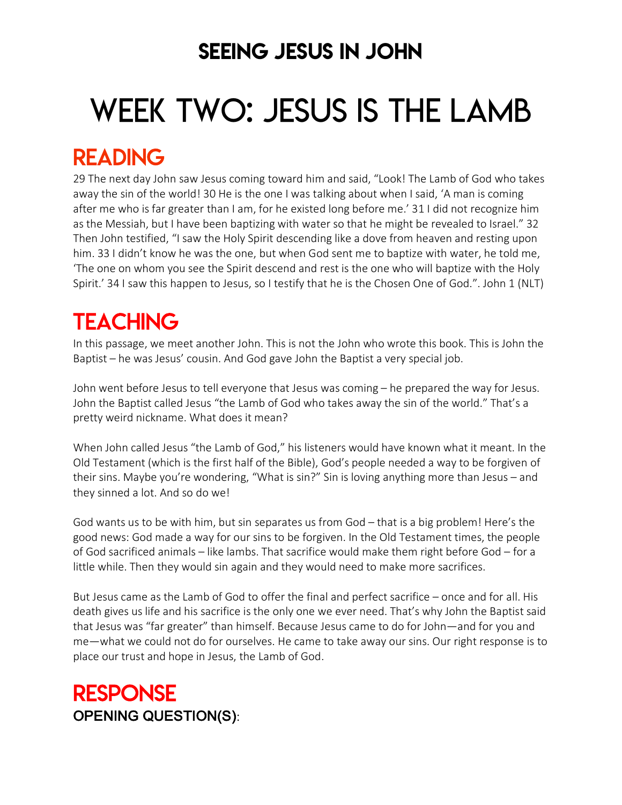### SEEING JESUS IN JOHN

# WEEK TWO: JESUS IS THE LAMB

### READING

29 The next day John saw Jesus coming toward him and said, "Look! The Lamb of God who takes away the sin of the world! 30 He is the one I was talking about when I said, 'A man is coming after me who is far greater than I am, for he existed long before me.' 31 I did not recognize him as the Messiah, but I have been baptizing with water so that he might be revealed to Israel." 32 Then John testified, "I saw the Holy Spirit descending like a dove from heaven and resting upon him. 33 I didn't know he was the one, but when God sent me to baptize with water, he told me, 'The one on whom you see the Spirit descend and rest is the one who will baptize with the Holy Spirit.' 34 I saw this happen to Jesus, so I testify that he is the Chosen One of God.". John 1 (NLT)

## **TEACHING**

In this passage, we meet another John. This is not the John who wrote this book. This is John the Baptist – he was Jesus' cousin. And God gave John the Baptist a very special job.

John went before Jesus to tell everyone that Jesus was coming – he prepared the way for Jesus. John the Baptist called Jesus "the Lamb of God who takes away the sin of the world." That's a pretty weird nickname. What does it mean?

When John called Jesus "the Lamb of God," his listeners would have known what it meant. In the Old Testament (which is the first half of the Bible), God's people needed a way to be forgiven of their sins. Maybe you're wondering, "What is sin?" Sin is loving anything more than Jesus – and they sinned a lot. And so do we!

God wants us to be with him, but sin separates us from God – that is a big problem! Here's the good news: God made a way for our sins to be forgiven. In the Old Testament times, the people of God sacrificed animals – like lambs. That sacrifice would make them right before God – for a little while. Then they would sin again and they would need to make more sacrifices.

But Jesus came as the Lamb of God to offer the final and perfect sacrifice – once and for all. His death gives us life and his sacrifice is the only one we ever need. That's why John the Baptist said that Jesus was "far greater" than himself. Because Jesus came to do for John—and for you and me—what we could not do for ourselves. He came to take away our sins. Our right response is to place our trust and hope in Jesus, the Lamb of God.

### **RESPONSE** OPENING QUESTION(S):